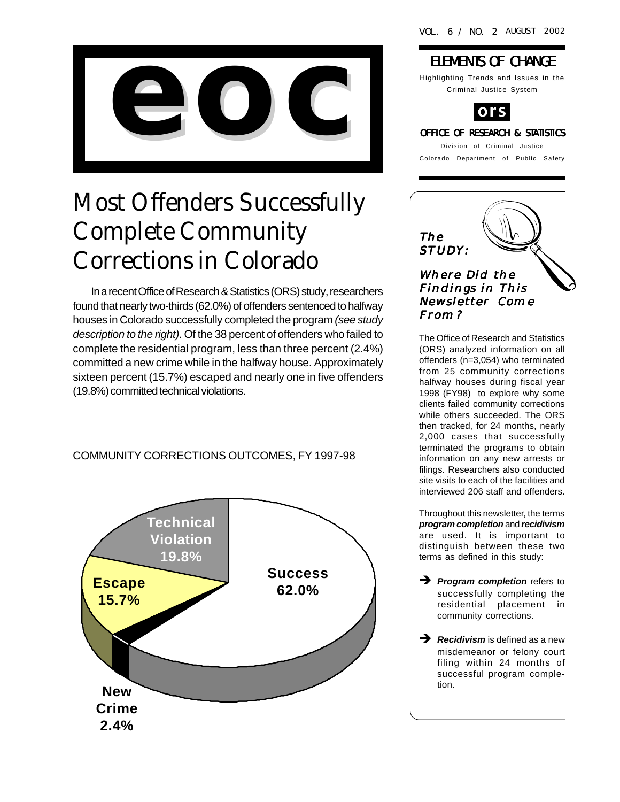

# Most Offenders Successfully Complete Community Corrections in Colorado

In a recent Office of Research & Statistics (ORS) study, researchers found that nearly two-thirds (62.0%) of offenders sentenced to halfway houses in Colorado successfully completed the program *(see study description to the right)*. Of the 38 percent of offenders who failed to complete the residential program, less than three percent (2.4%) committed a new crime while in the halfway house. Approximately sixteen percent (15.7%) escaped and nearly one in five offenders (19.8%) committed technical violations.

#### COMMUNITY CORRECTIONS OUTCOMES, FY 1997-98



### **ELEMENTS OF CHANGE**

Highlighting Trends and Issues in the Criminal Justice System



# Division of Criminal Justice

Colorado Department of Public Safety



The Office of Research and Statistics (ORS) analyzed information on all offenders (n=3,054) who terminated from 25 community corrections halfway houses during fiscal year 1998 (FY98) to explore why some clients failed community corrections while others succeeded. The ORS then tracked, for 24 months, nearly 2,000 cases that successfully terminated the programs to obtain information on any new arrests or filings. Researchers also conducted site visits to each of the facilities and interviewed 206 staff and offenders.

Throughout this newsletter, the terms *program completion* and *recidivism* are used. It is important to distinguish between these two terms as defined in this study:

**Program completion** refers to successfully completing the residential placement in community corrections.

**A** Recidivism is defined as a new misdemeanor or felony court filing within 24 months of successful program completion.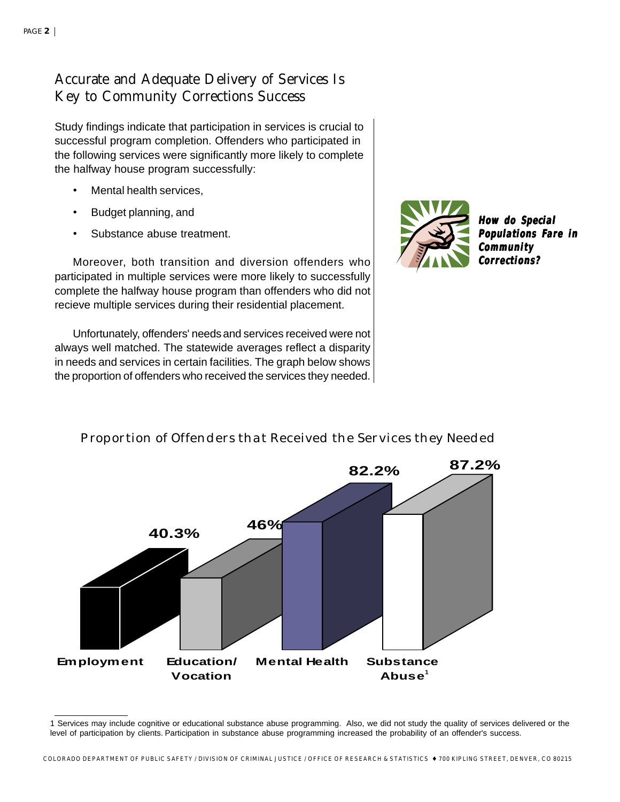### Accurate and Adequate Delivery of Services Is Key to Community Corrections Success

Study findings indicate that participation in services is crucial to successful program completion. Offenders who participated in the following services were significantly more likely to complete the halfway house program successfully:

- Mental health services,
- Budget planning, and
- Substance abuse treatment.

Moreover, both transition and diversion offenders who participated in multiple services were more likely to successfully complete the halfway house program than offenders who did not recieve multiple services during their residential placement.

Unfortunately, offenders' needsand services received were not always well matched. The statewide averages reflect a disparity in needs and services in certain facilities. The graph below shows the proportion of offenders who received the services they needed.



**How do Special How do Populations Fare in Community Corrections?**



#### Proportion of Offenders that Received the Services they Needed

<sup>1</sup> Services may include cognitive or educational substance abuse programming. Also, we did not study the quality of services delivered or the level of participation by clients. Participation in substance abuse programming increased the probability of an offender's success.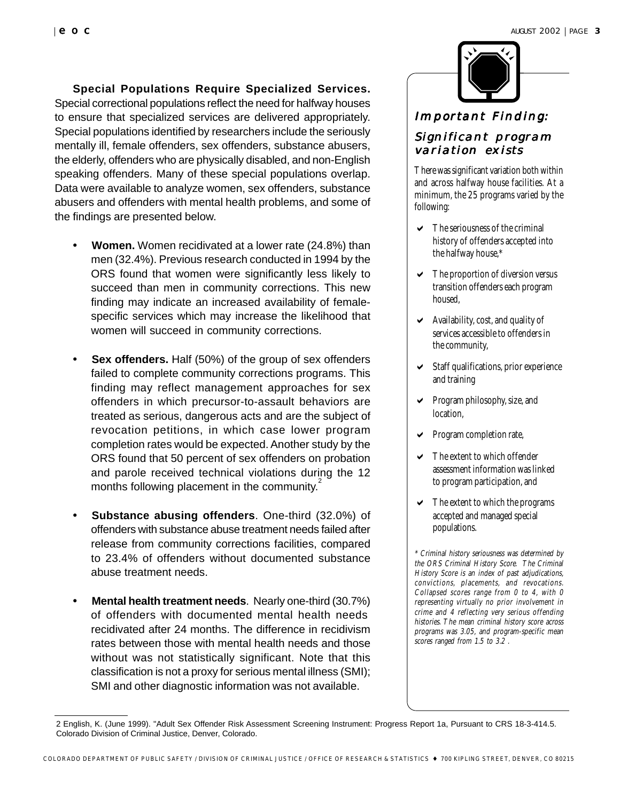#### **Special Populations Require Specialized Services.**

Special correctional populations reflect the need for halfway houses to ensure that specialized services are delivered appropriately. Special populations identified by researchers include the seriously mentally ill, female offenders, sex offenders, substance abusers, the elderly, offenders who are physically disabled, and non-English speaking offenders. Many of these special populations overlap. Data were available to analyze women, sex offenders, substance abusers and offenders with mental health problems, and some of the findings are presented below.

- **• Women.** Women recidivated at a lower rate (24.8%) than men (32.4%). Previous research conducted in 1994 by the ORS found that women were significantly less likely to succeed than men in community corrections. This new finding may indicate an increased availability of femalespecific services which may increase the likelihood that women will succeed in community corrections.
- **• Sex offenders.** Half (50%) of the group of sex offenders failed to complete community corrections programs. This finding may reflect management approaches for sex offenders in which precursor-to-assault behaviors are treated as serious, dangerous acts and are the subject of revocation petitions, in which case lower program completion rates would be expected. Another study by the ORS found that 50 percent of sex offenders on probation and parole received technical violations during the 12 months following placement in the community.<sup>2</sup>
- **Substance abusing offenders.** One-third (32.0%) of offenders with substance abuse treatment needs failed after release from community corrections facilities, compared to 23.4% of offenders without documented substance abuse treatment needs.
- **• Mental health treatment needs**. Nearly one-third (30.7%) of offenders with documented mental health needs recidivated after 24 months. The difference in recidivism rates between those with mental health needs and those without was not statistically significant. Note that this classification is not a proxy for serious mental illness (SMI); SMI and other diagnostic information was not available.



#### Important Finding:

#### Significant program variation exists

There was significant variation both within and across halfway house facilities. At a minimum, the 25 programs varied by the following:

- $\triangleright$  The seriousness of the criminal history of offenders accepted into the halfway house,\*
- $\triangleright$  The proportion of diversion versus transition offenders each program housed,
- $\blacktriangleright$  Availability, cost, and quality of services accessible to offenders in the community,
- $\triangleright$  Staff qualifications, prior experience and training
- $\triangleright$  Program philosophy, size, and location,
- $\triangleright$  Program completion rate,
- $\triangleright$  The extent to which offender assessment information was linked to program participation, and
- $\vee$  The extent to which the programs accepted and managed special populations.

\* Criminal history seriousness was determined by the ORS Criminal History Score. The Criminal History Score is an index of past adjudications, convictions, placements, and revocations. Collapsed scores range from 0 to 4, with 0 representing virtually no prior involvement in crime and 4 reflecting very serious offending histories. The mean criminal history score across programs was 3.05, and program-specific mean scores ranged from 1.5 to 3.2 .

<sup>2</sup> English, K. (June 1999). "Adult Sex Offender Risk Assessment Screening Instrument: Progress Report 1a, Pursuant to CRS 18-3-414.5. Colorado Division of Criminal Justice, Denver, Colorado.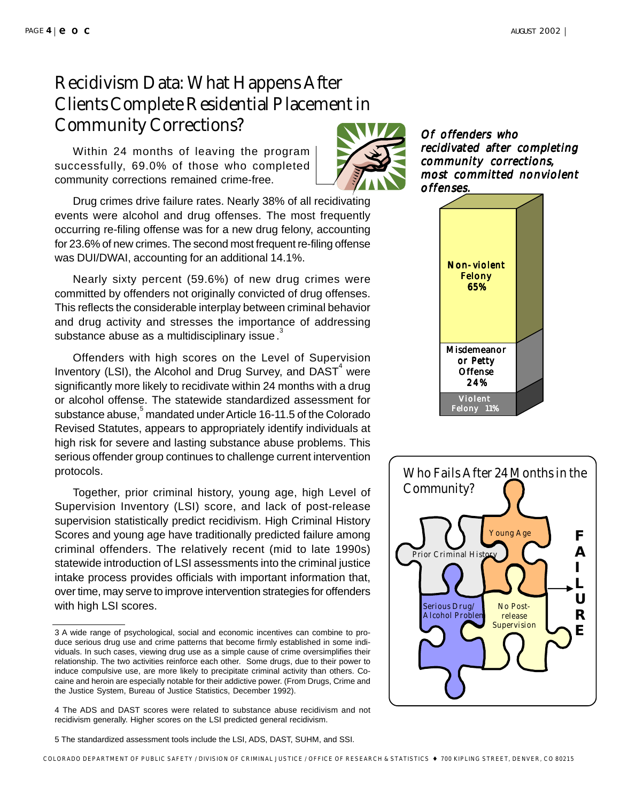## Recidivism Data: What Happens After Clients Complete Residential Placement in Community Corrections?

Within 24 months of leaving the program successfully, 69.0% of those who completed community corrections remained crime-free.

Drug crimes drive failure rates. Nearly 38% of all recidivating events were alcohol and drug offenses. The most frequently occurring re-filing offense was for a new drug felony, accounting for 23.6% of new crimes. The second most frequent re-filing offense was DUI/DWAI, accounting for an additional 14.1%.

Nearly sixty percent (59.6%) of new drug crimes were committed by offenders not originally convicted of drug offenses. This reflects the considerable interplay between criminal behavior and drug activity and stresses the importance of addressing substance abuse as a multidisciplinary issue.

Offenders with high scores on the Level of Supervision Inventory (LSI), the Alcohol and Drug Survey, and  $\text{DAST}^4$  were significantly more likely to recidivate within 24 months with a drug or alcohol offense. The statewide standardized assessment for substance abuse, $\mathring{\text{\rm{^5}}}$ mandated under Article 16-11.5 of the Colorado Revised Statutes, appears to appropriately identify individuals at high risk for severe and lasting substance abuse problems. This serious offender group continues to challenge current intervention protocols.

Together, prior criminal history, young age, high Level of Supervision Inventory (LSI) score, and lack of post-release supervision statistically predict recidivism. High Criminal History Scores and young age have traditionally predicted failure among criminal offenders. The relatively recent (mid to late 1990s) statewide introduction of LSI assessments into the criminal justice intake process provides officials with important information that, over time, may serve to improve intervention strategies for offenders with high LSI scores.



Of offenders who recidivated after completing community corrections, most committed nonviolent offenses.





<sup>3</sup> A wide range of psychological, social and economic incentives can combine to produce serious drug use and crime patterns that become firmly established in some individuals. In such cases, viewing drug use as a simple cause of crime oversimplifies their relationship. The two activities reinforce each other. Some drugs, due to their power to induce compulsive use, are more likely to precipitate criminal activity than others. Cocaine and heroin are especially notable for their addictive power. (From Drugs, Crime and the Justice System, Bureau of Justice Statistics, December 1992).

<sup>4</sup> The ADS and DAST scores were related to substance abuse recidivism and not recidivism generally. Higher scores on the LSI predicted general recidivism.

<sup>5</sup> The standardized assessment tools include the LSI, ADS, DAST, SUHM, and SSI.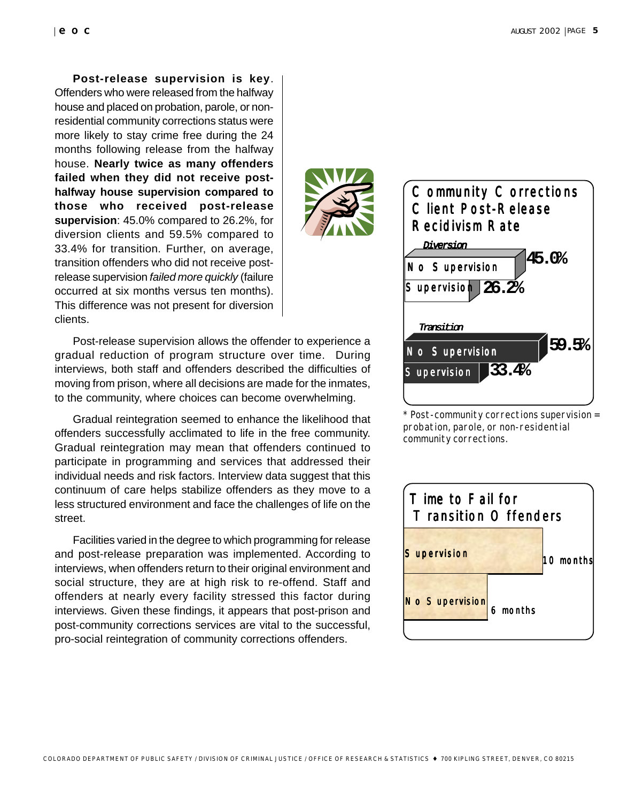**Post-release supervision is key**. Offenders who were released from the halfway house and placed on probation, parole, or nonresidential community corrections status were more likely to stay crime free during the 24 months following release from the halfway house. **Nearly twice as many offenders failed when they did not receive posthalfway house supervision compared to those who received post-release supervision**: 45.0% compared to 26.2%, for diversion clients and 59.5% compared to 33.4% for transition. Further, on average, transition offenders who did not receive postrelease supervision *failed more quickly* (failure occurred at six months versus ten months). This difference was not present for diversion clients.

Post-release supervision allows the offender to experience a gradual reduction of program structure over time. During interviews, both staff and offenders described the difficulties of moving from prison, where all decisions are made for the inmates, to the community, where choices can become overwhelming.

Gradual reintegration seemed to enhance the likelihood that offenders successfully acclimated to life in the free community. Gradual reintegration may mean that offenders continued to participate in programming and services that addressed their individual needs and risk factors. Interview data suggest that this continuum of care helps stabilize offenders as they move to a less structured environment and face the challenges of life on the street.

Facilities varied in the degree to which programming for release and post-release preparation was implemented. According to interviews, when offenders return to their original environment and social structure, they are at high risk to re-offend. Staff and offenders at nearly every facility stressed this factor during interviews. Given these findings, it appears that post-prison and post-community corrections services are vital to the successful, pro-social reintegration of community corrections offenders.



\* Post-community corrections supervision = probation, parole, or non-residential community corrections.



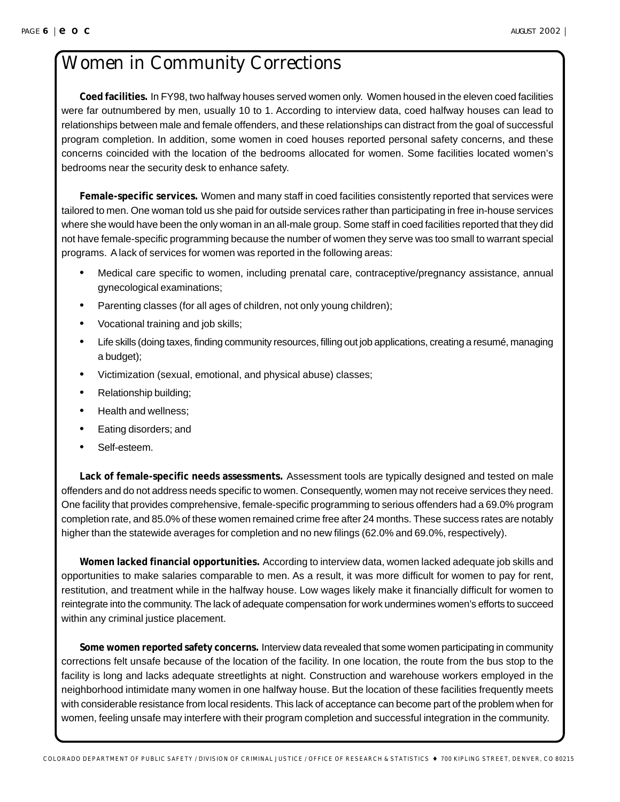## Women in Community Corrections

**Coed facilities.** In FY98, two halfway houses served women only. Women housed in the eleven coed facilities were far outnumbered by men, usually 10 to 1. According to interview data, coed halfway houses can lead to relationships between male and female offenders, and these relationships can distract from the goal of successful program completion. In addition, some women in coed houses reported personal safety concerns, and these concerns coincided with the location of the bedrooms allocated for women. Some facilities located women's bedrooms near the security desk to enhance safety.

**Female-specific services.** Women and many staff in coed facilities consistently reported that services were tailored to men. One woman told us she paid for outside services rather than participating in free in-house services where she would have been the only woman in an all-male group. Some staff in coed facilities reported that they did not have female-specific programming because the number of women they serve was too small to warrant special programs. A lack of services for women was reported in the following areas:

- Medical care specific to women, including prenatal care, contraceptive/pregnancy assistance, annual gynecological examinations;
- Parenting classes (for all ages of children, not only young children);
- Vocational training and job skills;
- Life skills (doing taxes, finding community resources, filling out job applications, creating a resumé, managing a budget);
- Victimization (sexual, emotional, and physical abuse) classes;
- Relationship building;
- Health and wellness;
- Eating disorders; and
- Self-esteem.

**Lack of female-specific needs assessments.** Assessment tools are typically designed and tested on male offenders and do not address needs specific to women. Consequently, women may not receive services they need. One facility that provides comprehensive, female-specific programming to serious offenders had a 69.0% program completion rate, and 85.0% of these women remained crime free after 24 months. These success rates are notably higher than the statewide averages for completion and no new filings (62.0% and 69.0%, respectively).

**Women lacked financial opportunities.** According to interview data, women lacked adequate job skills and opportunities to make salaries comparable to men. As a result, it was more difficult for women to pay for rent, restitution, and treatment while in the halfway house. Low wages likely make it financially difficult for women to reintegrate into the community. The lack of adequate compensation for work undermines women's efforts to succeed within any criminal justice placement.

**Some women reported safety concerns.** Interview data revealed that some women participating in community corrections felt unsafe because of the location of the facility. In one location, the route from the bus stop to the facility is long and lacks adequate streetlights at night. Construction and warehouse workers employed in the neighborhood intimidate many women in one halfway house. But the location of these facilities frequently meets with considerable resistance from local residents. This lack of acceptance can become part of the problem when for women, feeling unsafe may interfere with their program completion and successful integration in the community.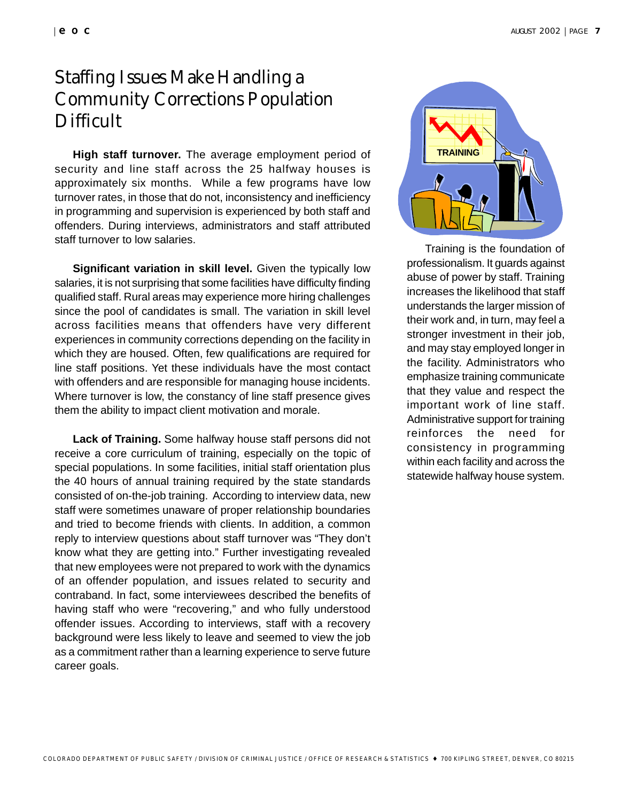## Staffing Issues Make Handling a Community Corrections Population **Difficult**

**High staff turnover.** The average employment period of security and line staff across the 25 halfway houses is approximately six months. While a few programs have low turnover rates, in those that do not, inconsistency and inefficiency in programming and supervision is experienced by both staff and offenders. During interviews, administrators and staff attributed staff turnover to low salaries.

**Significant variation in skill level.** Given the typically low salaries, it is not surprising that some facilities have difficulty finding qualified staff. Rural areas may experience more hiring challenges since the pool of candidates is small. The variation in skill level across facilities means that offenders have very different experiences in community corrections depending on the facility in which they are housed. Often, few qualifications are required for line staff positions. Yet these individuals have the most contact with offenders and are responsible for managing house incidents. Where turnover is low, the constancy of line staff presence gives them the ability to impact client motivation and morale.

**Lack of Training.** Some halfway house staff persons did not receive a core curriculum of training, especially on the topic of special populations. In some facilities, initial staff orientation plus the 40 hours of annual training required by the state standards consisted of on-the-job training. According to interview data, new staff were sometimes unaware of proper relationship boundaries and tried to become friends with clients. In addition, a common reply to interview questions about staff turnover was "They don't know what they are getting into." Further investigating revealed that new employees were not prepared to work with the dynamics of an offender population, and issues related to security and contraband. In fact, some interviewees described the benefits of having staff who were "recovering," and who fully understood offender issues. According to interviews, staff with a recovery background were less likely to leave and seemed to view the job as a commitment rather than a learning experience to serve future career goals.



Training is the foundation of professionalism. It guards against abuse of power by staff. Training increases the likelihood that staff understands the larger mission of their work and, in turn, may feel a stronger investment in their job, and may stay employed longer in the facility. Administrators who emphasize training communicate that they value and respect the important work of line staff. Administrative support for training reinforces the need for consistency in programming within each facility and across the statewide halfway house system.